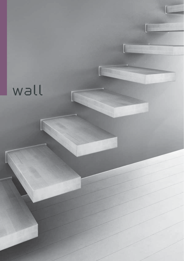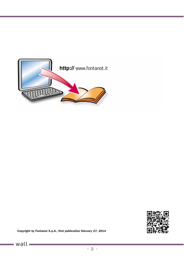



Copyright by Fontanot S.p.A., first publication february 27, 2014

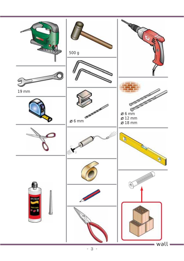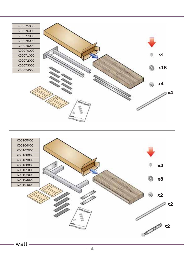



wall -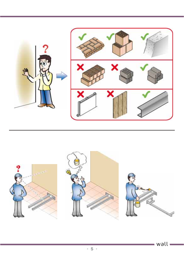

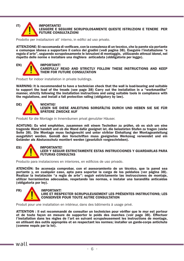IT) **IMPORTANTE!** LEGGERE E SEGUIRE SCRUPOLOSAMENTE QUESTE ISTRUZIONI E TENERE PER FUTURE CONSULTAZIONI

Prodotto per installazioni all' interno, in edifici ad uso privato.

ATTENZIONE: Si raccomanda di verificare, con la consulenza di un tecnico, che la parete sia portante e comunque idonea a supportare il carico dei gradini (vedi pagina 38). Eseguire l'installazione "a regola d'arte", seguendo scrupolosamente le istruzioni di montaggio, utilizzando attrezzi idonei, nel rispetto delle norme e installare una ringhiera anticaduta (obbligatoria per legge).

EN) IMPORTANT! CAREFULLY READ AND STRICTLY FOLLOW THESE INSTRUCTIONS AND KEEP THEM FOR FUTURE CONSULTATION

Product for indoor installation in private buildings.

WARNING: It is recommended to have a technician check that the wall is load-bearing and suitable to support the load of the treads (see page 38) Carry out the installation in a "workmanlike" manner, strictly following the installation instructions and using suitable tools in compliance with the regulations, and install a fall protection railing (obligatory by law).



LESEN SIE DIESE ANLEITUNG SORGFÄLTIG DURCH UND HEBEN SIE SIE FÜR SPÄTERE ZWECKE AUF

Produkt für die Montage in Innenräumen privat genutzter Häuser.

ACHTUNG: Es wird empfohlen, zusammen mit einem Techniker zu prüfen, ob es sich um eine tragende Wand handelt und ob die Wand dafür geeignet ist, die belasteten Stufen zu tragen (siehe Seite 38). Die Montage muss fachgerecht und unter strikter Einhaltung der Montageanleitung ausgeführt werden. Gemäß den Vorschriften muss geeignetes Werkzeug verwendet und ein Geländer als Absturzschutz montiert werden (gesetzlich vorgeschrieben).



#### ES) **IMPORTANTE!** LEER Y SEGUIR ESTRICTAMENTE ESTAS INSTRUCCIONES Y GUARDARLAS PARA FUTURAS CONSULTAS

Producto para instalaciones en interiores, en edificios de uso privado.

ATENCIÓN: Se aconseja comprobar, con el asesoramiento de un técnico, que la pared sea portante y, en cualquier caso, apta para soportar la carga de los peldaños (ver página 38). Realizar la instalación "a regla de arte": seguir estrictamente las instrucciones de montaje, utilizar herramientas adecuadas, respetando las normas, e instalar una barandilla anticaídas (obligatoria por ley).



# FR) IMPORTANT!

LIRE ET RESPECTER SCRUPULEUSEMENT LES PRÉSENTES INSTRUCTIONS; LES CONSERVER POUR TOUTE AUTRE CONSULTATION

Produit pour une installation en intérieur, dans des bâtiments à usage privé.

ATTENTION : Il est recommandé de consulter un technicien pour vérifier que le mur est porteur et de toute façon en mesure de supporter le poids des marches (voir page 38). Effectuer l'installation dans les règles de l'art en suivant scrupuleusement les instructions de montage, en utilisant des outils appropriés et en respectant les normes; installer un garde-corps antichute (comme requis par la loi).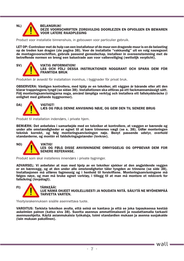

NL) **BELANGRIJK!** DEZE VOORSCHRIFTEN ZORGVULDIG DOORLEZEN EN OPVOLGEN EN BEWAREN VOOR LATERE RAADPLEGING

Product voor installatie binnenshuis, in gebouwen voor particulier gebruik.

LET OP: Controleer met de hulp van een installateur of de muur een dragende muur is en de belasting op de treden kan dragen (zie pagina 38). Voer de installatie "vakkundig" uit en volg nauwgezet de montagevoorschriften, gebruik passend gereedschap, installeer in overeenstemming met de betreffende normen en breng een balustrade aan voor valbeveiliging (wettelijk verplicht).

# SV) **WIKTIG INFORMATION!**

LÄS OCH FÖLJ DESSA INSTRUKTIONER NOGGRANT OCH SPARA DEM FÖR FRAMTIDA BRUK

Produkten är avsedd för installation inomhus, i byggnader för privat bruk.

OBSERVERA: Vänligen kontrollera, med hjälp av en tekniker, att väggen är bärande eller att den klarar trappstegens tyngd (se sidan 38). Installationen ska utföras på ett fackmannamässigt sätt. Följ monteringsanvisningarna noga, använd lämpliga verktyg och installera ett fallskyddsräcke (i enlighet med gällande byggnormer).



Produkt til installation indendørs, i private hjem.

BEMÆRK: Det anbefales i samarbejde med en tekniker at kontrollere, at væggen er bærende og under alle omstændigheder er egnet til at bære trinnenes vægt (se s. 38). Udfør monteringen teknisk korrekt, og følg monteringsanvisningen nøje. Benyt passende udstyr, overhold standarderne, og montér et faldsikringsgelænder (lovkrav).



LES OG FØLG DISSE ANVISNINGENE OMHYGGELIG OG OPPBEVAR DEM FOR SENERE REFERANSE.

Produkt som skal installeres innendørs i private bygninger.

ADVARSEL: Vi anbefaler at man med hjelp av en tekniker sjekker at den angjeldende veggen er en bærevegg, og at den under alle omstendigheter tåler tyngden av trinnene (se side 38). Installasjonen må utføres fagmessig og i henhold til forskriftene. Monteringsanvisningene må følges nøye, og man må bruke egnet verktøy, i tillegg til at man må montere et rekkverk for fallsikring (lovpålagt).

FI) TÄRKEÄÄ! LUE NÄMÄ OHJEET HUOLELLISESTI JA NOUDATA NIITÄ. SÄILYTÄ NE MYÖHEMPÄÄ TARVETTA VARTEN.

Yksityisrakennuksen sisälle asennettava tuote.

VAROITUS: Tarkista teknikon avulla, että seinä on kantava ja että se joka tapauksessa kestää askelmien painon (katso sivu 38). Suorita asennus ammattimaisesti ja noudattamalla tarkasti asennusohjeita. Käytä asianmukaisia työkaluja, toimi standardien mukaan ja asenna suojakaide (lain mukaan pakollinen).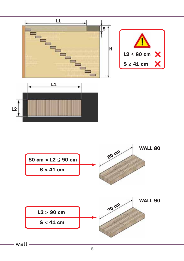



 $\blacksquare$  wall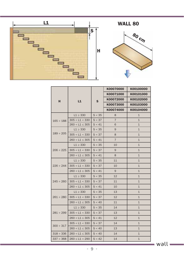WALL 80

 $\overline{\phantom{a}}$ 

80 cm



|                |                     |              | K00070000      | K00100000    |
|----------------|---------------------|--------------|----------------|--------------|
|                | L1                  | $\mathsf{s}$ | K00071000      | K00101000    |
| H              |                     |              | K00072000      | K00102000    |
|                |                     |              | K00073000      | K00103000    |
|                |                     |              | K00074000      | K00104000    |
| $165 \div 188$ | $L1 \ge 330$        | S < 35       | 8              | $\mathbf{1}$ |
|                | 305 < L1 < 330      | S < 37       | $\overline{7}$ | $\mathbf{1}$ |
|                | $260 < L1 \leq 305$ | S < 41       | 6              | $\mathbf{1}$ |
| $189 \div 205$ | $L1 \ge 330$        | S < 35       | 9              | $\mathbf{1}$ |
|                | 305 < L1 < 330      | S < 37       | 8              | $\mathbf{1}$ |
|                | $260 < L1 \leq 305$ | S < 41       | $\overline{7}$ | $\mathbf{1}$ |
| $206 \div 225$ | $L1 \ge 330$        | S < 35       | 10             | $\mathbf{1}$ |
|                | 305 < L1 < 330      | S < 37       | 9              | $\mathbf{1}$ |
|                | $260 < L1 \leq 305$ | S < 41       | 8              | $\mathbf{1}$ |
| $226 \div 244$ | $L1 \ge 330$        | S < 35       | 11             | $\mathbf{1}$ |
|                | 305 < L1 < 330      | S < 37       | 10             | $\mathbf{1}$ |
|                | $260 < L1 \leq 305$ | S < 41       | 9              | $\mathbf{1}$ |
|                | $L1 \ge 330$        | S < 35       | 12             | $\mathbf{1}$ |
| $245 \div 260$ | 305 < L1 < 330      | S < 37       | 11             | $\mathbf{1}$ |
|                | $260 < L1 \leq 305$ | S < 41       | 10             | $\mathbf{1}$ |
|                | $L1 \ge 330$        | S < 35       | 13             | $\mathbf{1}$ |
| $261 \div 280$ | 305 < L1 < 330      | S < 37       | 12             | $\mathbf{1}$ |
|                | $260 < L1 \leq 305$ | S < 40       | 11             | $\mathbf{1}$ |
| $281 \div 299$ | $L1 \ge 330$        | S < 35       | 14             | $\mathbf{1}$ |
|                | 305 < L1 < 330      | S < 37       | 13             | $\mathbf{1}$ |
|                | $260 < L1 \leq 305$ | S < 41       | 12             | $\mathbf{1}$ |
| $300 \div 317$ | 305 < L1 < 330      | S < 37       | 14             | $\mathbf{1}$ |
|                | $260 < L1 \leq 305$ | S < 40       | 13             | $\mathbf{1}$ |
| $318 \div 336$ | $260 < L1 \leq 305$ | S < 40       | 14             | $\mathbf{1}$ |
| $337 \div 368$ | $260 \le L1 < 290$  | S < 42       | 14             | $\mathbf{1}$ |

 $\overline{\phantom{a}}$  wall -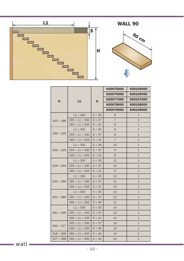

|                |                     | S            | K00075000      | K00105000    |
|----------------|---------------------|--------------|----------------|--------------|
|                |                     |              | K00076000      | K00106000    |
| н              | L1                  |              | K00077000      | K00107000    |
|                |                     |              | K00078000      | K00108000    |
|                |                     |              | K00079000      | K00109000    |
|                | $L1 \ge 330$        | S < 35       | 8              | $\mathbf{1}$ |
| $165 \div 188$ | 305 < L1 < 330      | S < 37       | $\overline{7}$ | $\mathbf{1}$ |
|                | $260 < L1 \leq 305$ | S < 41       | 6              | $\mathbf{1}$ |
| $189 \div 205$ | $L1 \ge 330$        | S < 35       | 9              | $\mathbf{1}$ |
|                | 305 < L1 < 330      | S < 37       | 8              | $\mathbf{1}$ |
|                | $260 < L1 \leq 305$ | S < 41       | $\overline{7}$ | $\mathbf{1}$ |
|                | $L1 \ge 330$        | S < 35       | 10             | $\mathbf{1}$ |
| $206 \div 225$ | 305 < L1 < 330      | S < 37       | 9              | $\mathbf{1}$ |
|                | $260 < L1 \leq 305$ | S < 41       | 8              | $\mathbf{1}$ |
|                | $L1 \ge 330$        | S < 35       | 11             | $\mathbf{1}$ |
| $226 \div 244$ | 305 < L1 < 330      | S < 37       | 10             | $\mathbf{1}$ |
|                | $260 < L1 \leq 305$ | S < 41       | 9              | $\mathbf{1}$ |
|                | $L1 \ge 330$        | S < 35<br>12 |                | $\mathbf{1}$ |
| $245 \div 260$ | 305 < L1 < 330      | S < 37       | 11             | $\mathbf{1}$ |
|                | $260 < L1 \leq 305$ | S < 41       | 10             | $\mathbf{1}$ |
|                | $L1 \ge 330$        | S < 35       | 13             | $\mathbf{1}$ |
| $261 \div 280$ | 305 < L1 < 330      | S < 37       | 12             | $\mathbf{1}$ |
|                | $260 < L1 \leq 305$ | S < 40       | 11             | $\mathbf{1}$ |
| $281 \div 299$ | $L1 \ge 330$        | S < 35       | 14             | $\mathbf{1}$ |
|                | 305 < L1 < 330      | S < 37       | 13             | $\mathbf{1}$ |
|                | $260 < L1 \leq 305$ | S < 41       | 12             | $\mathbf{1}$ |
| $300 \div 317$ | 305 < L1 < 330      | S < 37       | 14             | $\mathbf{1}$ |
|                | $260 < L1 \leq 305$ | S < 40       | 13             | $\mathbf{1}$ |
| $318 \div 336$ | $260 < L1 \leq 305$ | S < 40       | 14             | $\mathbf{1}$ |
| $337 \div 368$ | $260 \le L1 < 290$  | S < 42       | 14             | $\mathbf{1}$ |

wall **.**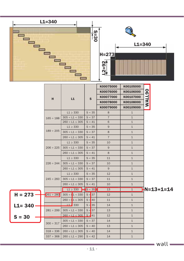

|            |                |                      |                       | K00075000      | K00105000    |            |
|------------|----------------|----------------------|-----------------------|----------------|--------------|------------|
|            |                |                      |                       | K00076000      | K00106000    |            |
|            | н              | L1                   | $\mathbf{s}$          | K00077000      | K00107000    | WALL90     |
|            |                |                      |                       | K00078000      | K00108000    |            |
|            |                |                      |                       | K00079000      | K00109000    |            |
|            |                | $L1 \ge 330$         | S < 35                | 8              | $\mathbf{1}$ |            |
|            | $165 \div 188$ | 305 < L1 < 330       | S < 37                | $\overline{7}$ | $\mathbf{1}$ |            |
|            |                | $260 < L1 \leq 305$  | S < 41                | 6              | $\mathbf{1}$ |            |
|            |                | $L1 \geq 330$        | S < 35                | 9              | $\mathbf{1}$ |            |
|            | $189 \div 205$ | 305 < L1 < 330       | S < 37                | 8              | $\mathbf{1}$ |            |
|            |                | $260 < L1 \leq 305$  | S < 41                | $\overline{7}$ | $\mathbf{1}$ |            |
|            |                | $L1 \ge 330$         | S < 35                | 10             | $\mathbf{1}$ |            |
|            | $206 \div 225$ | 305 < L1 < 330       | S < 37                | 9              | $\mathbf{1}$ |            |
|            |                | $260 < L1 \leq 305$  | S < 41                | 8              | $\mathbf{1}$ |            |
|            |                | $L1 \ge 330$         | S < 35                | 11             | $\mathbf{1}$ |            |
|            | $226 \div 244$ | 305 < L1 < 330       | S < 37                | 10             | $\mathbf{1}$ |            |
|            |                | $260 < L1 \leq 305$  | S < 41                | 9              | $\mathbf{1}$ |            |
|            |                | $L1 \ge 330$         | S < 35                | 12             | $\mathbf{1}$ |            |
|            | $245 \div 260$ | 305 < L1 < 330       | S < 37                | 11             | $\mathbf{1}$ |            |
|            |                | $260 < L1 \leq 305$  | S < 41                | 10             | $\mathbf{1}$ |            |
|            |                | $L1 \geq 330$        | $\left S < 35\right $ | 13             | $\mathbf{1}$ | HN=13+1=14 |
| $H = 273$  | $261 \div 280$ | 305 <  11 < 330      | $S \triangleleft 37$  | 12             | $\mathbf{1}$ |            |
|            |                | $260 <   1 \leq 305$ | S < 40                | 11             | $\mathbf{1}$ |            |
| $L1 = 340$ |                | $11 \times 330$      | $S \leq 35$           | 14             | $\mathbf{1}$ |            |
|            | $281 \div 299$ | 305 < L1 < 330       | $S \leq 37$           | 13             | $\mathbf{1}$ |            |
| $S = 30$   |                | $260 < L1 \leq 305$  | S < 41                | 12             | $\mathbf{1}$ |            |
|            | $300 \div 317$ | 305 < L1 < 330       | S < 37                | 14             | $\mathbf{1}$ |            |
|            |                | $260 < L1 \leq 305$  | S < 40                | 13             | $\mathbf{1}$ |            |
|            | $318 \div 336$ | $260 < L1 \leq 305$  | S < 40                | 14             | $\mathbf{1}$ |            |
|            | 337 ÷ 368      | $260 \le L1 < 290$   | S < 42                | 14             | $\mathbf{1}$ |            |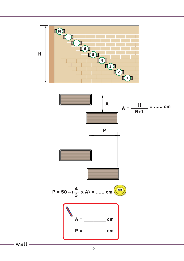



wall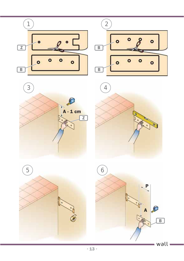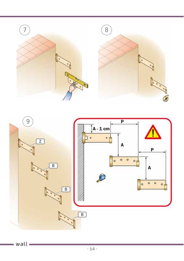

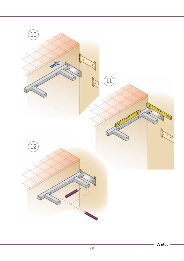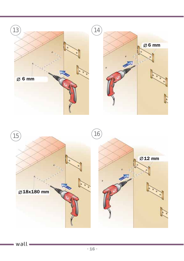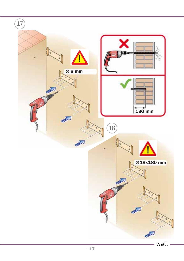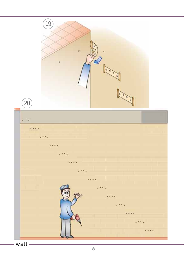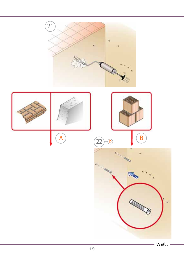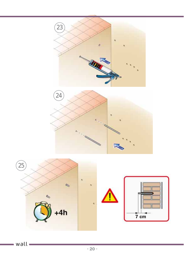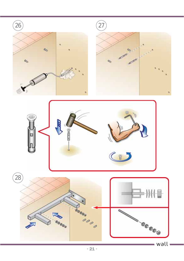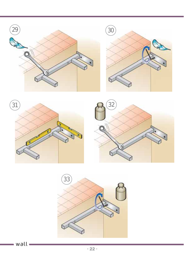









wall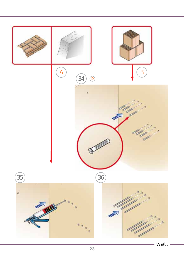

١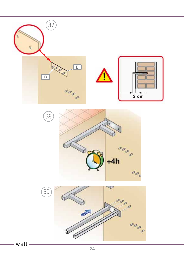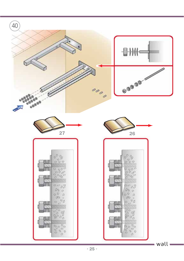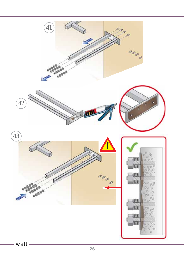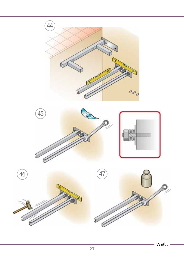

wall ·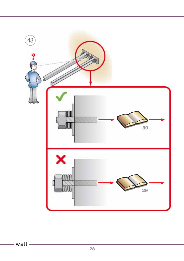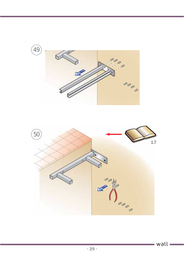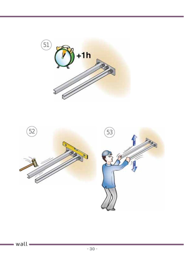



J.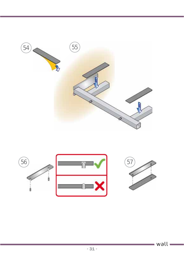



Ì,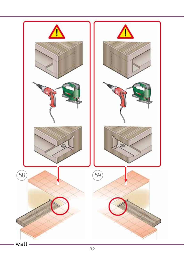

×. and a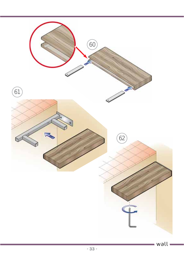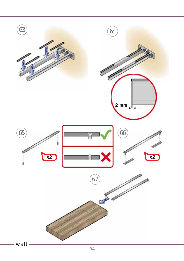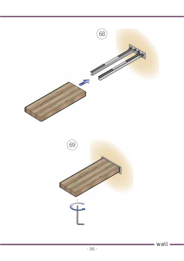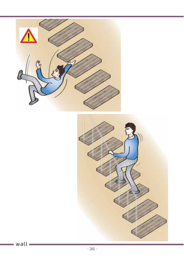

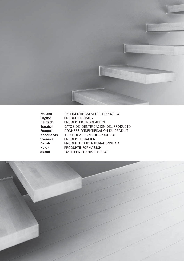

| Italiano          | DATI IDENTIFICATIVI DEL PRODOTTO     |
|-------------------|--------------------------------------|
| English           | PRODUCT DETAILS                      |
| <b>Deutsch</b>    | PRODUKTEIGENSCHAFTEN                 |
| <b>Español</b>    | DATOS DE IDENTIFICACIÓN DEL PRODUCTO |
| <b>Francais</b>   | DONNÉES D'IDENTIFICATION DU PRODUIT  |
| <b>Nederlands</b> | <b>IDENTIFICATIE VAN HET PRODUCT</b> |
| Svenska           | PRODUKT DETALJER                     |
| Dansk             | PRODUKTETS IDENTIFIKATIONSDATA       |
| Norsk             | PRODUKTINFORMASJON                   |
| Suomi             | TUOTTEEN TUNNISTETIEDOT              |
|                   |                                      |

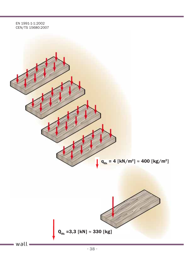EN 1991-1-1:2002 CEN/TS 15680:2007

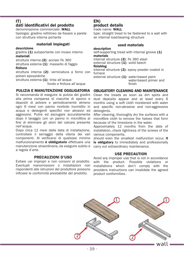# IT) dati identificativi del prodotto

denominazione commerciale: WALL tipologia: gradino rettilineo da fissare a parete con struttura interna portante

# materiali impiegati

# descrizione

gradino (1) autoportante con incavo interno materiali

struttura interna (2): acciaio Fe 360

struttura esterna (1): massello di faggio

# finitura

struttura interna (2): verniciatura a forno con polveri epossidiche

struttura esterna (1): tinta all'acqua

fondo e finitura all'acqua

# PULIZIA E MANUTENZIONE OGGLIGATORIA

Si raccomanda di eseguire la pulizia dei gradini alla prima comparsa di macchie di sporco e depositi di polvere e periodicamente almeno ogni 6 mesi con panno morbido inumidito in acqua e detergenti specifici non abrasivi ed aggressivi. Pulire ed asciugare accuratamente dopo il lavaggio con un panno in microfibra al fine di eliminare gli aloni del calcare presente nell'acqua.

Dopo circa 12 mesi dalla data di installazione, controllare il serraggio della viteria dei vari componenti. Al verificarsi di qualsiasi minimo malfunzionamento è obbligatorio effettuare una manutenzione straordinaria, da eseguire subito e a regola d'arte.

# PRECAUZIONI D'USO

Evitare usi impropri e non consoni al prodotto. Eventuali manomissioni o installazioni non rispondenti alle istruzioni del produttore possono inficiare le conformità prestabilite del prodotto.

# EN) product details trade name: WALL

type: straight tread to be fastened to a wall with an internal load-bearing structure

# used materials

#### description self-supporting tread with internal groove  $(1)$ materials internal structure (2): Fe 360 steel external structure  $(1)$ : solid beech finishing internal structure (2): epoxy powder coated in furnace external structure (1): water-based paint water-based primer and finish

# **OBLIGATORY CLEANING AND MAINTENANCE**

Clean the treads as soon as dirt spots and dust deposits appear and at least every 6 months using a soft cloth moistened with water and specific non-abrasive and non-aggressive detergents.

After cleaning, thoroughly dry the surfaces with a microfibre cloth to remove the haloes that form because of the limestone in the water.

Approximately 12 months from the date of installation, check tightness of the screws of the various components.

should even the smallest malfunction occur, it is obligatory to immediately and professionally carry out extraordinary maintenance.

# USE PRECAUTION

Avoid any improper use that is not in accordance with the product. Possible violations or installations which don't comply with the providers instructions can invalidate the agreed product conformities.

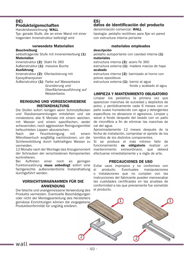# DE) Produkteigenschaften

Handelsbezeichnung: WALL Typ: gerade Stufe, die an einer Wand mit einer tragenden Innenstruktur befestigt wird

# verwendete Materialien

# **Beschreibung**

selbsttragende Stufe mit Inneneinkerbung (1) Materialien

Innenstruktur (2): Stahl Fe 360

Außenstruktur (1): massive Buche

### Ausführung

Innenstruktur (2): Ofenlackierung mit Epoxydharzpulver

Außenstruktur (1): Farbe auf Wasserbasis Grundierung und Oberflächenausführung auf **Wasserhasis** 

# REINIGUNG UND VORGESCHRIEBENE INSTANDHALTUNG

Die Stufen sofort reinigen wenn Schmutzflecken und Staubansammlungen entstehen und sie mindestens alle 6 Monate mit einem weichen, mit Wasser und einem spezifischen, weder scheuernden, noch aggressiven Reinigungsmittel befeuchteten Lappen abzuwischen.<br>Nach der Feuchtreinigung mit

Feuchtreinigung mit einem Mikrofasertuch sorgfältig nachtrocknen, um die Schlierenbildung durch kalkhaltiges Wasser zu vermeiden.

12 Monate nach der Montage das Anzugsmoment der Schrauben der verschiedenen Komponenten kontrollieren.<br>Bei Auftreten

Bei Auftreten einer noch so geringen Funktionsstörung muss unbedingt sofort eine fachgerechte außerordentliche Instandhaltung durchgeführt werden.

# VORSICHTSMAßNAHMEN FÜR DIE ANWENDUNG

Die falsche und unangemessene Verwendung des Produkts vermeiden. Eventuelle Beschädigungen oder nicht der Montageanleitung des Herstellers gemässe Einrichtungen können die vorgegebene Produktkonformität für ungültig erklären.

# ES) datos de identificación del producto

denominación comercial: WALL

tipología: peldaño rectilíneo para fijar en pared con estructura interna portante

# materiales empleados

# descripción

peldaño autoportante con cavidad interna (1) materiales

estructura interna (2): acero Fe 360

estructura externa  $(1)$ : madera maciza de haya acabado

estructura interna (2): barnizado al horno con polvos epoxídicos estructura externa (1): barniz al agua

fondo y acabado al agua

# LIMPIEZA Y MANTENIMIENTO OBLIGATORIO

Limpiar los peldaños la primera vez que aparezcan manchas de suciedad y depósitos de polvo, y periódicamente cada 6 meses con un paño suave humedecido con agua y detergentes específicos no abrasivos ni agresivos. Limpiar y secar a fondo después del lavado con un paño de microfibra a fin de eliminar las manchas de cal del agua.

Aproximadamente 12 meses después de la fecha de instalación, comprobar el apriete de los tornillos de los distintos componentes.<br>Si se produce el más mínimo

se produce el más mínimo fallo de funcionamiento **es obligatorio** realizar un<br>mantenimiento extraordinario, que deberá extraordinario, efectuarse inmediatamente y a regla de arte.

# PRECAUCIONES DE USO

Evitar usos impropios y no conformes con el producto. Eventuales manipulaciones o instalaciones que no cumplan con las instrucciones del fabricante pueden menoscabar las cualidades certificadas en las pruebas de conformidad a las que previamente fue sometido el producto.

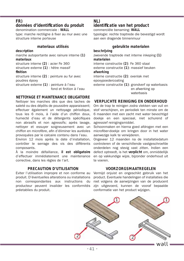# FR)

# données d'identification du produit

denomination commerciale : WALL type: marche rectiligne à fixer au mur avec une structure interne porteuse

# materiaux utilisés

# description

marche autoportante avec rainure interne (1) materiaux

structure interne (2) : acier Fe 360 structure externe (1) : hêtre massif

# finition

structure interne (2) : peinture au fur avec poudres époxy

structure externe (1) : peinture à l'eau fond et finition à l'eau

# NETTOYAGE ET MAINTENANCE OBLIGATOIRE

Nettoyer les marches dès que des taches de saleté ou des dépôts de poussière apparaissent; effectuer également un nettoyage périodique, tous les 6 mois, à l'aide d'un chiffon doux, humecté d'eau et de détergents spécifiques non abrasifs et non agressifs; après lavage, nettoyer et essuyer soigneusement avec un chiffon en microfibre, afin d'éliminer les auréoles provoquées par le calcaire contenu dans l'eau.

Environ 12 mois après la date d'installation, contrôler le serrage des vis des différents composants.

À la moindre défaillance, il est obligatoire d'effectuer immédiatement une maintenance corrective, dans les règles de l'art.

# PRECAUTION D'UTILISATION

Eviter l'utilisation impropre et non conforme au produit. D'éventuelles alterations ou installations non correspondantes aux instructions du producteur peuvent invalider les conformités préetablies du produit.

# NL) identificatie van het product

commerciële benaming: WALL typologie: rechte traptrede die bevestigd wordt aan een dragende binnenmuur

# gebruikte materialen

# beschrijving

zwevende traptrede met interne inkeping (1) materialen interne constructie (2): Fe 360 staal externe constructie (1): massief beuken afwerking interne constructie (2): ovenlak met epoxypoedercoating

externe constructie (1): grondverf op waterbasis en afwerking op waterbasis

# VERPLICHTE REINIGING EN ONDERHOUD

Om de trap te reinigen zodra vlekken van vuil en stof verschijnen, en periodiek ten minste om de 6 maanden met een zacht met water bevochtigd doekje en een speciaal, niet schurend of agressief reinigingsmiddel.

Schoonmaken en hierna goed afdrogen met een microfiber-doekje om kringen door in het water aanwezige kalk te verwijderen.

Ongeveer 12 maanden na de installatiedatum controleren of de verschillende vastgeschroefde onderdelen nog stevig vast zitten. Indien een defect optreedt, is het verplicht om, onmiddellijk en op vakkundige wijze, bijzonder onderhoud uit te voeren.

# VOORZORGSMAATREGELEN

Vermijd onjuist en ongeschikt gebruik van het product. Eventuele handelingen of installaties die niet volgens de aanwijzingen van de producent zijn uitgevoerd, kunnen de vooraf bepaalde conformatie van het product wijzigen.

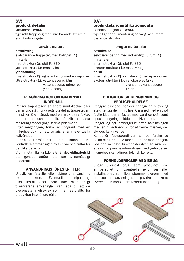# SV) produkt detaljer

varunamn: WALL

typ: rakt trappsteg med inre bärande struktur, som fästs i väggen

# använt material

# beskrivning

självbärande trappsteg med hålighet (1) material

inre struktur (2): stål Fe 360

yttre struktur (1): massiv bok

# ytbehandling

inre struktur (2): ugnslackering med epoxipulver yttre struktur (1): vattenbaserad färg

vattenbaserad primer och ytbehandling

# RENGÖRING OCH OBLIGATORISKT UNDERHÅLL

Rengör trappstegen så snart smutsfläckar eller damm uppstår. Torka regelbundet av trappstegen, minst var 6:e månad, med en mjuk trasa fuktad med vatten och ett milt, särskilt anpassat rengöringsmedel (inga starka polermedel).

Efter rengöringen, torka av noggrant med en mikrofiberduk för att avlägsna alla eventuella kalkränder.

Efter cirka 12 månader efter installationsdatum, kontrollera åtdragningen av skruvar och bultar för de olika delarna.

Vid minsta lilla funktionsfel är det obligatoriskt att genast utföra ett fackmannamässigt underhållsarbete.

# ANVÄNDNINGSFÖRESKRIFTER

Undvik en felaktig eller olämplig användning av produkten. Eventuell manipulering, eller installationer som inte sker enligt tillverkarens anvisningar, kan leda till att de överensstämmelsekrav som har fastställts för produkten inte längre gäller.

# DA) produktets identifikationsdata

handelsbetegnelse: WALL type: lige trin til montering på væg med intern bærende struktur

# brugte materialer

# beskrivelse

selvbærende trin med indvendigt hulrum (1) materialer

intern struktur (2): stål Fe 360 ekstern struktur (1): massiv bøg finish

intern struktur (2): ovnlakering med epoxypulver ekstern struktur (1): vandbaseret farve

> grunder og vandbaseret finish

# OBLIGATORISK RENGØRING OG VEDLIGEHOLDELSE

Rengøre trinnene, når der er tegn på snavs og støv. Rengør dem min. hver 6 måned med en blød fugtig klud, der er fugtet med vand og skånsomt specialrengøringsmiddel, der ikke ridser.

Rengør og tør omhyggeligt efter afvaskningen med en mikrofiberklud for at fjerne mærker, der skyldes kalk i vandet.

Kontrollér fastspændingen af de forskellige deles skruer ca. 12 måneder efter monteringen. Ved den mindste funktionsforstyrrelse skal der straks udføres ekstraordinær vedligeholdelse. Indgrebet skal udføres teknisk korrekt.

# FORHOLDSREGLER VED BRUG

Undgå ukorrekt brug, som produktet ikke er beregnet til. Eventuelle ændringer eller installationer, som ikke stemmer overens med producentens anvisninger, kan påvirke produktets overensstemmelse som fastsat inden brug.

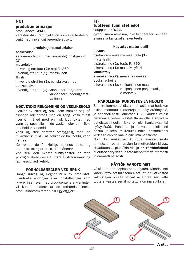# NO)

# produktinformasjon

produktnavn: WALL

karakteristikk: rettlinjet trinn som skal festes til vegg med innvendig bærende struktur

# produksjonsmaterialer

# beskrivelse

selvbærende trinn med innvendig innskjæring (1)

# materialer

innvendig struktur (2): stål Fe 360 utvendig struktur (1): massiv bøk

# finish

innvendig struktur (2): ovnslakkert med epoksypulver

utvendig struktur (1): vannbasert fargestoff vannbasert underlagsstrøk og finnish

# NØDVENDIG RENGJØRING OG VEDLIKEHOLD

Flekker av skitt og støv som samler seg på trinnene bør fjernes med én gang. Vask minst hver 6. måned med en myk klut fuktet med vann og spesielle milde vaskemidler som ikke inneholder slipemidler.

Vask og tørk deretter omhyggelig med en mikrofiberklut slik at flekker av kalkholdig vann fiernes.

Kontrollere de forskjellige delenes bolte- og skruetiltrekking etter ca. 12 måneder.

Ved selv den minste funksjonsfeil er man pliktig til øyeblikkelig å utføre ekstraordinært og fagmessig vedlikehold.

# FORHOLDSREGLER VED BRUK

Unngå uriktig og uegnet bruk av produktet. Eventuelle endringer eller innstalleringer som ikke er i samsvar med produsentens anvisninger, vil kunne medføre at de forhåndsdefinerte produktkonformitetene blir ugyldiggjort.

# FI) tuotteen tunnistetiedot

kauppanimi: WALL

tyyppi: suora askelma, joka kiinnitetään seinään sisäisellä kantavalla rakenteella

# käytetyt materiaalit

# kuvaus

itsekantava askelma sisäuralla (1) materiaalit

sisärakenne (2): teräs Fe 360

ulkorakenne (1): massiivipyökki

# viimeistely

sisärakenne (2): maalaus uunissa epoksijauheilla

ulkorakenne  $(1)$ : vesipohjainen maali vesipohjainen pohjamaali ja viimeistely

# PAKOLLINEN PUHDISTUS JA HUOLTO

Suosittelemme puhdistamaan askelmat heti, kun niille ilmaantuu likatahroja ja pölykerääntymiä, ja säännöllisesti vähintään 6 kuukauden välein pehmeällä, veteen kastetulla rievulla ja sopivalla puhdistusaineella, joka ei ole hankaavaa tai syövyttävää. Puhdista ja kuivaa huolellisesti pesun jälkeen mikrokuituliinalla poistaaksesi vedessä olevan kalkin aiheuttamat tahrat.

Noin 12 kuukauden kuluttua asentamisesta tarkista eri osien ruuvien ja muttereiden kireys. Havaittaessa pieniäkin vikoja on välttämätöntä suorittaa erityiset huoltotoimenpiteet välittömästi ja ammattimaisesti.

# KÄYTÖN VAROTOIMET

Vältä tuotteen sopimatonta käyttöä. Mahdolliset väärinkäytökset tai asennukset, jotka eivät vastaa valmistajan ohjeita, voivat aiheuttaa sen, että tuote ei vastaa sen ilmoitettuja ominaisuuksia.